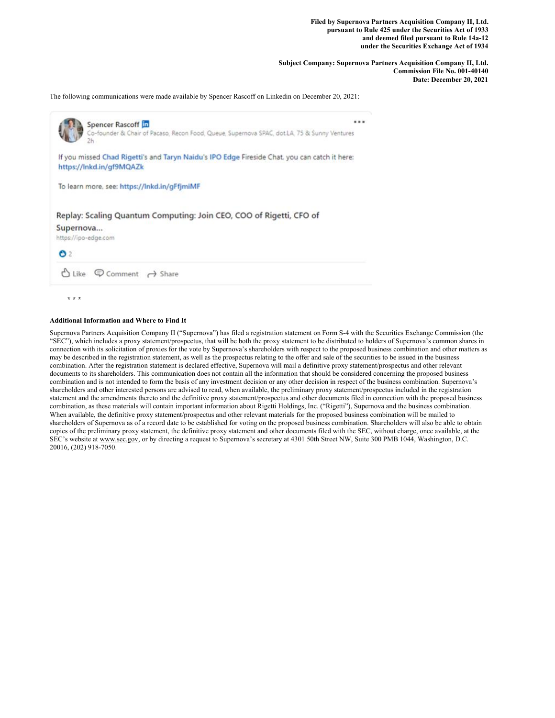**Filed by Supernova Partners Acquisition Company II, Ltd. pursuant to Rule 425 under the Securities Act of 1933 and deemed filed pursuant to Rule 14a-12 under the Securities Exchange Act of 1934**

**Subject Company: Supernova Partners Acquisition Company II, Ltd. Commission File No. 001-40140 Date: December 20, 2021**

The following communications were made available by Spencer Rascoff on Linkedin on December 20, 2021:



## **Additional Information and Where to Find It**

Supernova Partners Acquisition Company II ("Supernova") has filed a registration statement on Form S-4 with the Securities Exchange Commission (the "SEC"), which includes a proxy statement/prospectus, that will be both the proxy statement to be distributed to holders of Supernova's common shares in connection with its solicitation of proxies for the vote by Supernova's shareholders with respect to the proposed business combination and other matters as may be described in the registration statement, as well as the prospectus relating to the offer and sale of the securities to be issued in the business combination. After the registration statement is declared effective, Supernova will mail a definitive proxy statement/prospectus and other relevant documents to its shareholders. This communication does not contain all the information that should be considered concerning the proposed business combination and is not intended to form the basis of any investment decision or any other decision in respect of the business combination. Supernova's shareholders and other interested persons are advised to read, when available, the preliminary proxy statement/prospectus included in the registration statement and the amendments thereto and the definitive proxy statement/prospectus and other documents filed in connection with the proposed business combination, as these materials will contain important information about Rigetti Holdings, Inc. ("Rigetti"), Supernova and the business combination. When available, the definitive proxy statement/prospectus and other relevant materials for the proposed business combination will be mailed to shareholders of Supernova as of a record date to be established for voting on the proposed business combination. Shareholders will also be able to obtain copies of the preliminary proxy statement, the definitive proxy statement and other documents filed with the SEC, without charge, once available, at the SEC's website at www.sec.gov, or by directing a request to Supernova's secretary at 4301 50th Street NW, Suite 300 PMB 1044, Washington, D.C. 20016, (202) 918-7050.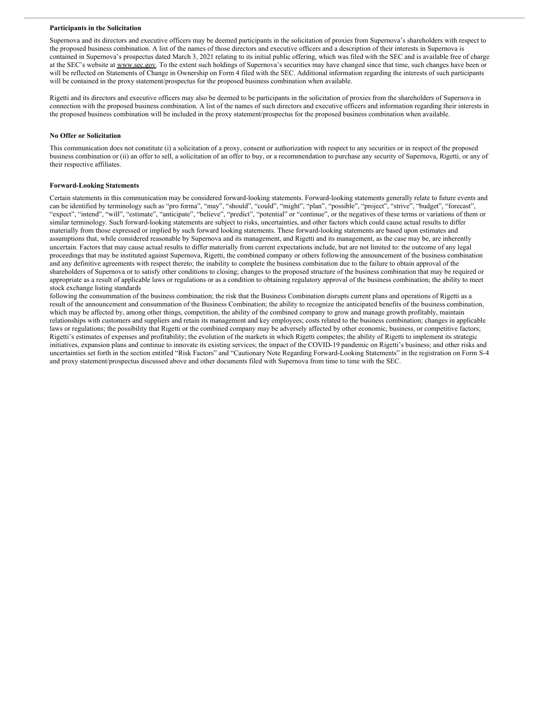## **Participants in the Solicitation**

Supernova and its directors and executive officers may be deemed participants in the solicitation of proxies from Supernova's shareholders with respect to the proposed business combination. A list of the names of those directors and executive officers and a description of their interests in Supernova is contained in Supernova's prospectus dated March 3, 2021 relating to its initial public offering, which was filed with the SEC and is available free of charge at the SEC's website at www.sec.gov. To the extent such holdings of Supernova's securities may have changed since that time, such changes have been or will be reflected on Statements of Change in Ownership on Form 4 filed with the SEC. Additional information regarding the interests of such participants will be contained in the proxy statement/prospectus for the proposed business combination when available.

Rigetti and its directors and executive officers may also be deemed to be participants in the solicitation of proxies from the shareholders of Supernova in connection with the proposed business combination. A list of the names of such directors and executive officers and information regarding their interests in the proposed business combination will be included in the proxy statement/prospectus for the proposed business combination when available.

## **No Offer or Solicitation**

This communication does not constitute (i) a solicitation of a proxy, consent or authorization with respect to any securities or in respect of the proposed business combination or (ii) an offer to sell, a solicitation of an offer to buy, or a recommendation to purchase any security of Supernova, Rigetti, or any of their respective affiliates.

## **Forward-Looking Statements**

Certain statements in this communication may be considered forward-looking statements. Forward-looking statements generally relate to future events and can be identified by terminology such as "pro forma", "may", "should", "could", "might", "plan", "possible", "project", "strive", "budget", "forecast", "expect", "intend", "will", "estimate", "anticipate", "believe", "predict", "potential" or "continue", or the negatives of these terms or variations of them or similar terminology. Such forward-looking statements are subject to risks, uncertainties, and other factors which could cause actual results to differ materially from those expressed or implied by such forward looking statements. These forward-looking statements are based upon estimates and assumptions that, while considered reasonable by Supernova and its management, and Rigetti and its management, as the case may be, are inherently uncertain. Factors that may cause actual results to differ materially from current expectations include, but are not limited to: the outcome of any legal proceedings that may be instituted against Supernova, Rigetti, the combined company or others following the announcement of the business combination and any definitive agreements with respect thereto; the inability to complete the business combination due to the failure to obtain approval of the shareholders of Supernova or to satisfy other conditions to closing; changes to the proposed structure of the business combination that may be required or appropriate as a result of applicable laws or regulations or as a condition to obtaining regulatory approval of the business combination; the ability to meet stock exchange listing standards

following the consummation of the business combination; the risk that the Business Combination disrupts current plans and operations of Rigetti as a result of the announcement and consummation of the Business Combination; the ability to recognize the anticipated benefits of the business combination, which may be affected by, among other things, competition, the ability of the combined company to grow and manage growth profitably, maintain relationships with customers and suppliers and retain its management and key employees; costs related to the business combination; changes in applicable laws or regulations; the possibility that Rigetti or the combined company may be adversely affected by other economic, business, or competitive factors; Rigetti's estimates of expenses and profitability; the evolution of the markets in which Rigetti competes; the ability of Rigetti to implement its strategic initiatives, expansion plans and continue to innovate its existing services; the impact of the COVID-19 pandemic on Rigetti's business; and other risks and uncertainties set forth in the section entitled "Risk Factors" and "Cautionary Note Regarding Forward-Looking Statements" in the registration on Form S-4 and proxy statement/prospectus discussed above and other documents filed with Supernova from time to time with the SEC.